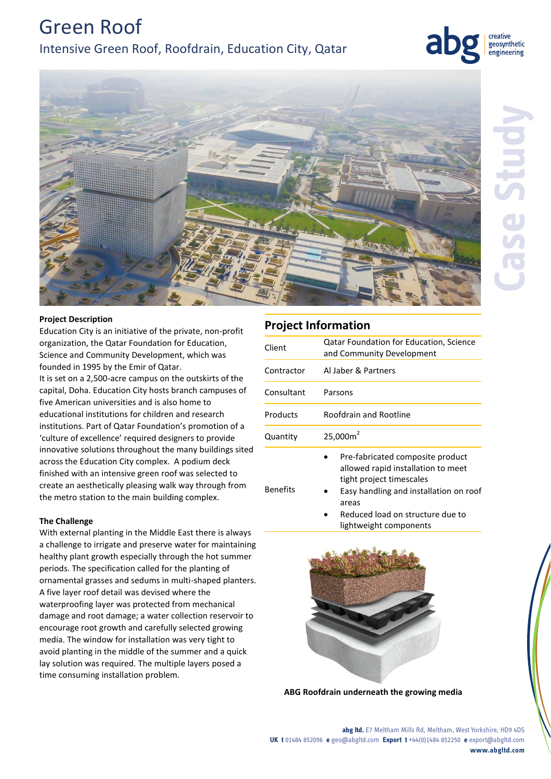Green Roof Intensive Green Roof, Roofdrain, Education City, Qatar





## **Project Description**

Education City is an initiative of the private, non-profit organization, the Qatar Foundation for Education, Science and Community Development, which was founded in 1995 by the Emir of Qatar.

It is set on a 2,500-acre campus on the outskirts of the capital, Doha. Education City hosts branch campuses of five American universities and is also home to educational institutions for children and research institutions. Part of Qatar Foundation's promotion of a 'culture of excellence' required designers to provide innovative solutions throughout the many buildings sited across the Education City complex. A podium deck finished with an intensive green roof was selected to create an aesthetically pleasing walk way through from the metro station to the main building complex.

## **The Challenge**

With external planting in the Middle East there is always a challenge to irrigate and preserve water for maintaining healthy plant growth especially through the hot summer periods. The specification called for the planting of ornamental grasses and sedums in multi-shaped planters. A five layer roof detail was devised where the waterproofing layer was protected from mechanical damage and root damage; a water collection reservoir to encourage root growth and carefully selected growing media. The window for installation was very tight to avoid planting in the middle of the summer and a quick lay solution was required. The multiple layers posed a time consuming installation problem.

# **Project Information**

| Client          | <b>Qatar Foundation for Education, Science</b><br>and Community Development                                                                                                                                         |
|-----------------|---------------------------------------------------------------------------------------------------------------------------------------------------------------------------------------------------------------------|
| Contractor      | Al Jaber & Partners                                                                                                                                                                                                 |
| Consultant      | Parsons                                                                                                                                                                                                             |
| Products        | Roofdrain and Rootline                                                                                                                                                                                              |
| Quantity        | 25,000m <sup>2</sup>                                                                                                                                                                                                |
| <b>Benefits</b> | Pre-fabricated composite product<br>allowed rapid installation to meet<br>tight project timescales<br>Easy handling and installation on roof<br>areas<br>Reduced load on structure due to<br>lightweight components |





**abg ltd.** E7 Meltham Mills Rd, Meltham, West Yorkshire, HD9 4DS **UK t** 01484 852096 **e** geo@abgltd.com **Export t** +44(0)1484 852250 **e** export@abgltd.com **www.abgltd.com**